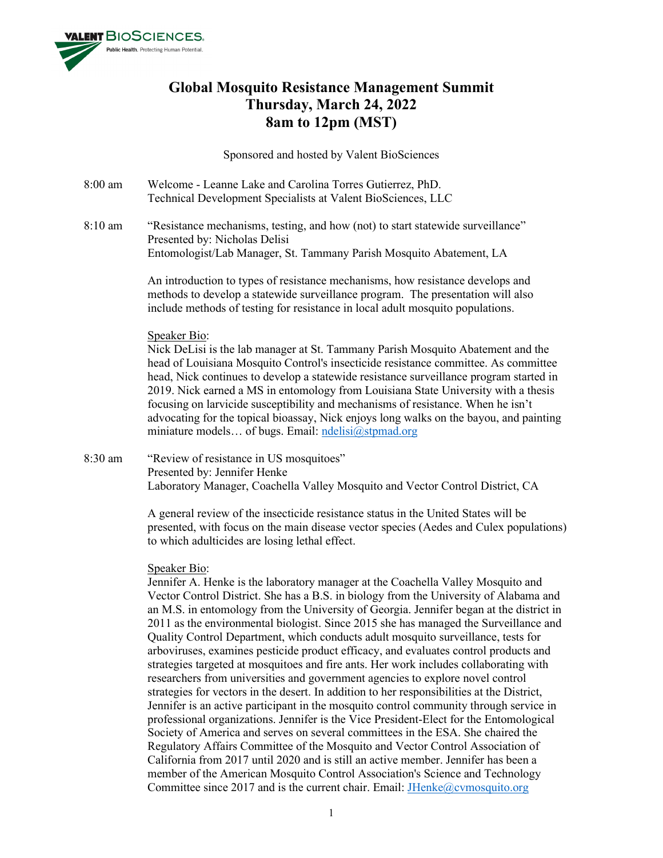

# **Global Mosquito Resistance Management Summit Thursday, March 24, 2022 8am to 12pm (MST)**

Sponsored and hosted by Valent BioSciences

- 8:00 am Welcome Leanne Lake and Carolina Torres Gutierrez, PhD. Technical Development Specialists at Valent BioSciences, LLC
- 8:10 am "Resistance mechanisms, testing, and how (not) to start statewide surveillance" Presented by: Nicholas Delisi Entomologist/Lab Manager, St. Tammany Parish Mosquito Abatement, LA

An introduction to types of resistance mechanisms, how resistance develops and methods to develop a statewide surveillance program. The presentation will also include methods of testing for resistance in local adult mosquito populations.

## Speaker Bio:

Nick DeLisi is the lab manager at St. Tammany Parish Mosquito Abatement and the head of Louisiana Mosquito Control's insecticide resistance committee. As committee head, Nick continues to develop a statewide resistance surveillance program started in 2019. Nick earned a MS in entomology from Louisiana State University with a thesis focusing on larvicide susceptibility and mechanisms of resistance. When he isn't advocating for the topical bioassay, Nick enjoys long walks on the bayou, and painting miniature models... of bugs. Email: [ndelisi@stpmad.org](mailto:ndelisi@stpmad.org)

8:30 am "Review of resistance in US mosquitoes" Presented by: Jennifer Henke Laboratory Manager, Coachella Valley Mosquito and Vector Control District, CA

> A general review of the insecticide resistance status in the United States will be presented, with focus on the main disease vector species (Aedes and Culex populations) to which adulticides are losing lethal effect.

## Speaker Bio:

Jennifer A. Henke is the laboratory manager at the Coachella Valley Mosquito and Vector Control District. She has a B.S. in biology from the University of Alabama and an M.S. in entomology from the University of Georgia. Jennifer began at the district in 2011 as the environmental biologist. Since 2015 she has managed the Surveillance and Quality Control Department, which conducts adult mosquito surveillance, tests for arboviruses, examines pesticide product efficacy, and evaluates control products and strategies targeted at mosquitoes and fire ants. Her work includes collaborating with researchers from universities and government agencies to explore novel control strategies for vectors in the desert. In addition to her responsibilities at the District, Jennifer is an active participant in the mosquito control community through service in professional organizations. Jennifer is the Vice President-Elect for the Entomological Society of America and serves on several committees in the ESA. She chaired the Regulatory Affairs Committee of the Mosquito and Vector Control Association of California from 2017 until 2020 and is still an active member. Jennifer has been a member of the American Mosquito Control Association's Science and Technology Committee since 2017 and is the current chair. Email: **JHenke@cvmosquito.org**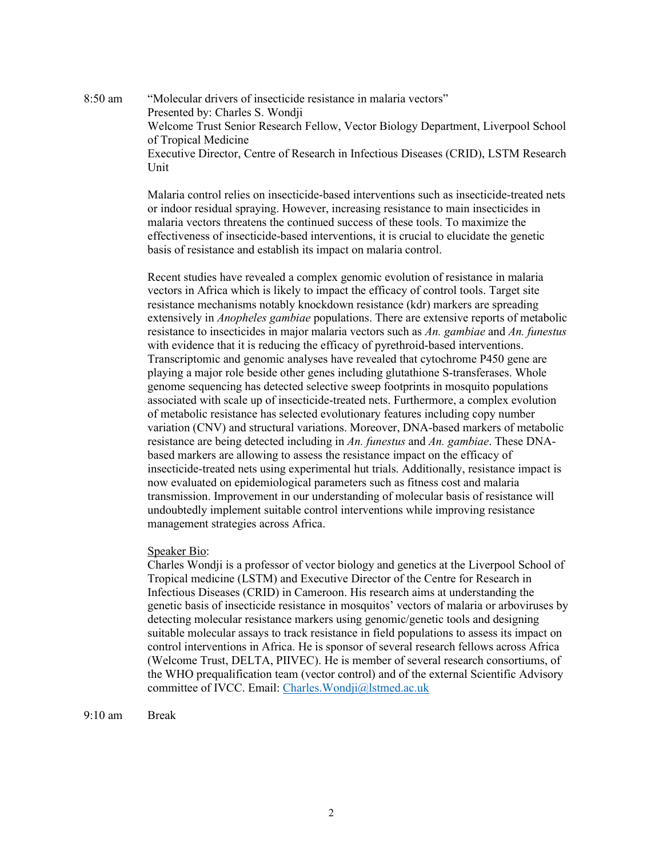8:50 am "Molecular drivers of insecticide resistance in malaria vectors" Presented by: Charles S. Wondji Welcome Trust Senior Research Fellow, Vector Biology Department, Liverpool School of Tropical Medicine Executive Director, Centre of Research in Infectious Diseases (CRID), LSTM Research Unit

> Malaria control relies on insecticide-based interventions such as insecticide-treated nets or indoor residual spraying. However, increasing resistance to main insecticides in malaria vectors threatens the continued success of these tools. To maximize the effectiveness of insecticide-based interventions, it is crucial to elucidate the genetic basis of resistance and establish its impact on malaria control.

> Recent studies have revealed a complex genomic evolution of resistance in malaria vectors in Africa which is likely to impact the efficacy of control tools. Target site resistance mechanisms notably knockdown resistance (kdr) markers are spreading extensively in *Anopheles gambiae* populations. There are extensive reports of metabolic resistance to insecticides in major malaria vectors such as *An. gambiae* and *An. funestus* with evidence that it is reducing the efficacy of pyrethroid-based interventions. Transcriptomic and genomic analyses have revealed that cytochrome P450 gene are playing a major role beside other genes including glutathione S-transferases. Whole genome sequencing has detected selective sweep footprints in mosquito populations associated with scale up of insecticide-treated nets. Furthermore, a complex evolution of metabolic resistance has selected evolutionary features including copy number variation (CNV) and structural variations. Moreover, DNA-based markers of metabolic resistance are being detected including in *An. funestus* and *An. gambiae*. These DNAbased markers are allowing to assess the resistance impact on the efficacy of insecticide-treated nets using experimental hut trials. Additionally, resistance impact is now evaluated on epidemiological parameters such as fitness cost and malaria transmission. Improvement in our understanding of molecular basis of resistance will undoubtedly implement suitable control interventions while improving resistance management strategies across Africa.

## Speaker Bio:

Charles Wondji is a professor of vector biology and genetics at the Liverpool School of Tropical medicine (LSTM) and Executive Director of the Centre for Research in Infectious Diseases (CRID) in Cameroon. His research aims at understanding the genetic basis of insecticide resistance in mosquitos' vectors of malaria or arboviruses by detecting molecular resistance markers using genomic/genetic tools and designing suitable molecular assays to track resistance in field populations to assess its impact on control interventions in Africa. He is sponsor of several research fellows across Africa (Welcome Trust, DELTA, PIIVEC). He is member of several research consortiums, of the WHO prequalification team (vector control) and of the external Scientific Advisory committee of IVCC. Email: [Charles.Wondji@lstmed.ac.uk](mailto:Charles.Wondji@lstmed.ac.uk)

9:10 am Break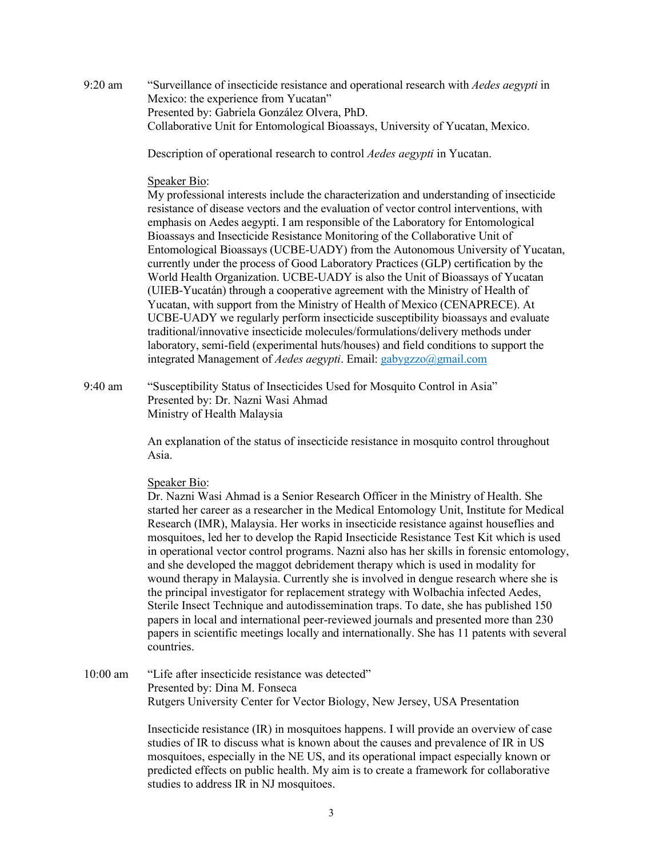9:20 am "Surveillance of insecticide resistance and operational research with *Aedes aegypti* in Mexico: the experience from Yucatan" Presented by: Gabriela González Olvera, PhD. Collaborative Unit for Entomological Bioassays, University of Yucatan, Mexico.

Description of operational research to control *Aedes aegypti* in Yucatan.

## Speaker Bio:

My professional interests include the characterization and understanding of insecticide resistance of disease vectors and the evaluation of vector control interventions, with emphasis on Aedes aegypti. I am responsible of the Laboratory for Entomological Bioassays and Insecticide Resistance Monitoring of the Collaborative Unit of Entomological Bioassays (UCBE-UADY) from the Autonomous University of Yucatan, currently under the process of Good Laboratory Practices (GLP) certification by the World Health Organization. UCBE-UADY is also the Unit of Bioassays of Yucatan (UIEB-Yucatán) through a cooperative agreement with the Ministry of Health of Yucatan, with support from the Ministry of Health of Mexico (CENAPRECE). At UCBE-UADY we regularly perform insecticide susceptibility bioassays and evaluate traditional/innovative insecticide molecules/formulations/delivery methods under laboratory, semi-field (experimental huts/houses) and field conditions to support the integrated Management of *Aedes aegypti*. Email: gabygzzo@gmail.com

9:40 am "Susceptibility Status of Insecticides Used for Mosquito Control in Asia" Presented by: Dr. Nazni Wasi Ahmad Ministry of Health Malaysia

> An explanation of the status of insecticide resistance in mosquito control throughout Asia.

## Speaker Bio:

Dr. Nazni Wasi Ahmad is a Senior Research Officer in the Ministry of Health. She started her career as a researcher in the Medical Entomology Unit, Institute for Medical Research (IMR), Malaysia. Her works in insecticide resistance against houseflies and mosquitoes, led her to develop the Rapid Insecticide Resistance Test Kit which is used in operational vector control programs. Nazni also has her skills in forensic entomology, and she developed the maggot debridement therapy which is used in modality for wound therapy in Malaysia. Currently she is involved in dengue research where she is the principal investigator for replacement strategy with Wolbachia infected Aedes, Sterile Insect Technique and autodissemination traps. To date, she has published 150 papers in local and international peer-reviewed journals and presented more than 230 papers in scientific meetings locally and internationally. She has 11 patents with several countries.

10:00 am "Life after insecticide resistance was detected" Presented by: Dina M. Fonseca Rutgers University Center for Vector Biology, New Jersey, USA Presentation

> Insecticide resistance (IR) in mosquitoes happens. I will provide an overview of case studies of IR to discuss what is known about the causes and prevalence of IR in US mosquitoes, especially in the NE US, and its operational impact especially known or predicted effects on public health. My aim is to create a framework for collaborative studies to address IR in NJ mosquitoes.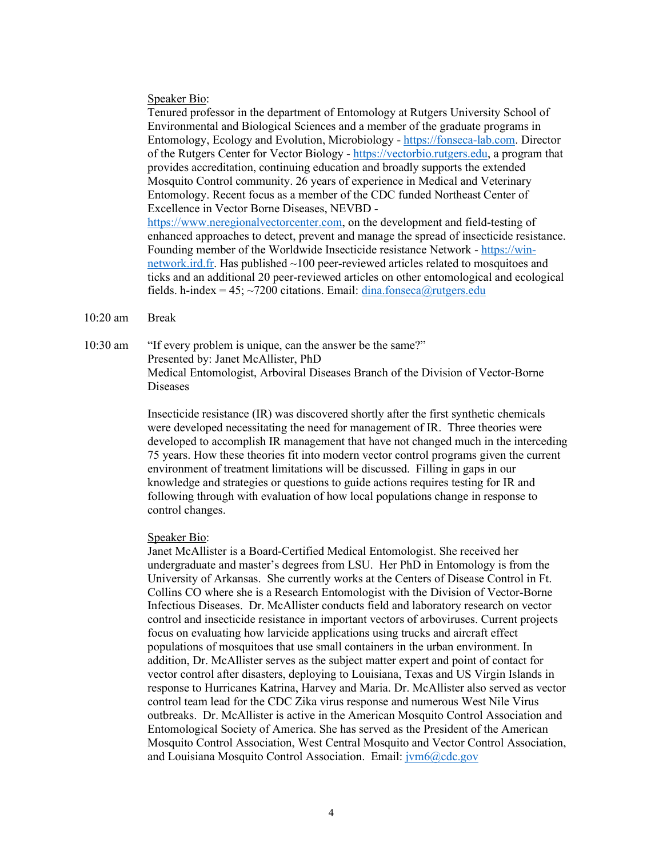#### Speaker Bio:

Tenured professor in the department of Entomology at Rutgers University School of Environmental and Biological Sciences and a member of the graduate programs in Entomology, Ecology and Evolution, Microbiology - [https://fonseca-lab.com.](https://urldefense.com/v3/__https:/fonseca-lab.com/__;!!BljAD5N0OmfQxSE!sb4wBMbhEDh3cdvvOr-RLoghvkN3uRU3mB4uwphJ3t2kAKnY-HbnU5g31KnhZqURT2zF8TSe$) Director of the Rutgers Center for Vector Biology - [https://vectorbio.rutgers.edu,](https://urldefense.com/v3/__https:/vectorbio.rutgers.edu/__;!!BljAD5N0OmfQxSE!sb4wBMbhEDh3cdvvOr-RLoghvkN3uRU3mB4uwphJ3t2kAKnY-HbnU5g31KnhZqURT6UfggJZ$) a program that provides accreditation, continuing education and broadly supports the extended Mosquito Control community. 26 years of experience in Medical and Veterinary Entomology. Recent focus as a member of the CDC funded Northeast Center of Excellence in Vector Borne Diseases, NEVBD [https://www.neregionalvectorcenter.com,](https://urldefense.com/v3/__https:/www.neregionalvectorcenter.com/__;!!BljAD5N0OmfQxSE!sb4wBMbhEDh3cdvvOr-RLoghvkN3uRU3mB4uwphJ3t2kAKnY-HbnU5g31KnhZqURT7HMcP37$) on the development and field-testing of enhanced approaches to detect, prevent and manage the spread of insecticide resistance. Founding member of the Worldwide Insecticide resistance Network - [https://win](https://urldefense.com/v3/__https:/win-network.ird.fr/__;!!BljAD5N0OmfQxSE!sb4wBMbhEDh3cdvvOr-RLoghvkN3uRU3mB4uwphJ3t2kAKnY-HbnU5g31KnhZqURT2pIgVcN$)[network.ird.fr.](https://urldefense.com/v3/__https:/win-network.ird.fr/__;!!BljAD5N0OmfQxSE!sb4wBMbhEDh3cdvvOr-RLoghvkN3uRU3mB4uwphJ3t2kAKnY-HbnU5g31KnhZqURT2pIgVcN$) Has published ~100 peer-reviewed articles related to mosquitoes and ticks and an additional 20 peer-reviewed articles on other entomological and ecological fields. h-index = 45;  $\sim$ 7200 citations. Email: [dina.fonseca@rutgers.edu](mailto:dina.fonseca@rutgers.edu)

#### 10:20 am Break

10:30 am "If every problem is unique, can the answer be the same?" Presented by: Janet McAllister, PhD Medical Entomologist, Arboviral Diseases Branch of the Division of Vector-Borne Diseases

> Insecticide resistance (IR) was discovered shortly after the first synthetic chemicals were developed necessitating the need for management of IR. Three theories were developed to accomplish IR management that have not changed much in the interceding 75 years. How these theories fit into modern vector control programs given the current environment of treatment limitations will be discussed. Filling in gaps in our knowledge and strategies or questions to guide actions requires testing for IR and following through with evaluation of how local populations change in response to control changes.

#### Speaker Bio:

Janet McAllister is a Board-Certified Medical Entomologist. She received her undergraduate and master's degrees from LSU. Her PhD in Entomology is from the University of Arkansas. She currently works at the Centers of Disease Control in Ft. Collins CO where she is a Research Entomologist with the Division of Vector-Borne Infectious Diseases. Dr. McAllister conducts field and laboratory research on vector control and insecticide resistance in important vectors of arboviruses. Current projects focus on evaluating how larvicide applications using trucks and aircraft effect populations of mosquitoes that use small containers in the urban environment. In addition, Dr. McAllister serves as the subject matter expert and point of contact for vector control after disasters, deploying to Louisiana, Texas and US Virgin Islands in response to Hurricanes Katrina, Harvey and Maria. Dr. McAllister also served as vector control team lead for the CDC Zika virus response and numerous West Nile Virus outbreaks. Dr. McAllister is active in the American Mosquito Control Association and Entomological Society of America. She has served as the President of the American Mosquito Control Association, West Central Mosquito and Vector Control Association, and Louisiana Mosquito Control Association. Email:  $\frac{\partial \phi}{\partial c}$  Eq. 200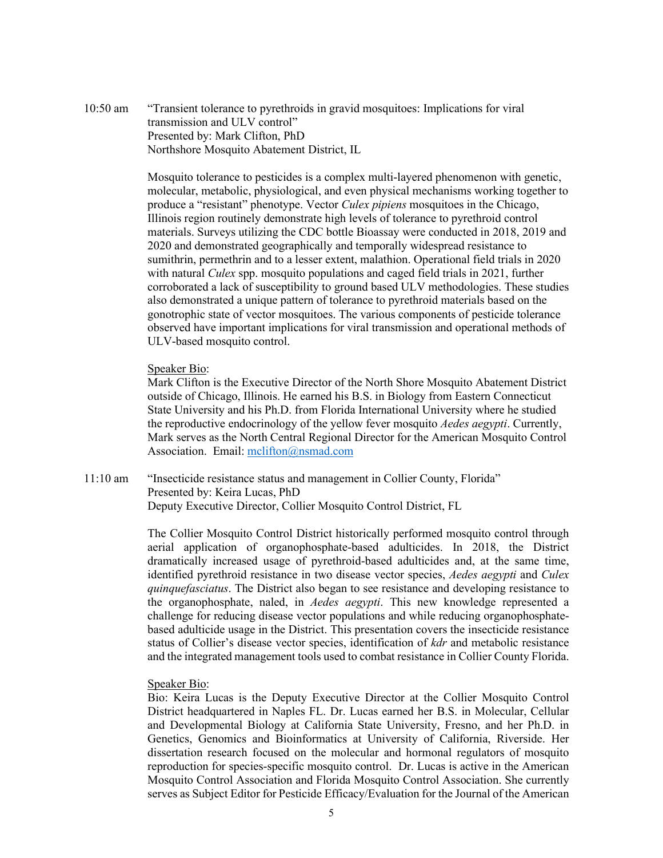10:50 am "Transient tolerance to pyrethroids in gravid mosquitoes: Implications for viral transmission and ULV control" Presented by: Mark Clifton, PhD Northshore Mosquito Abatement District, IL

> Mosquito tolerance to pesticides is a complex multi-layered phenomenon with genetic, molecular, metabolic, physiological, and even physical mechanisms working together to produce a "resistant" phenotype. Vector *Culex pipiens* mosquitoes in the Chicago, Illinois region routinely demonstrate high levels of tolerance to pyrethroid control materials. Surveys utilizing the CDC bottle Bioassay were conducted in 2018, 2019 and 2020 and demonstrated geographically and temporally widespread resistance to sumithrin, permethrin and to a lesser extent, malathion. Operational field trials in 2020 with natural *Culex* spp. mosquito populations and caged field trials in 2021, further corroborated a lack of susceptibility to ground based ULV methodologies. These studies also demonstrated a unique pattern of tolerance to pyrethroid materials based on the gonotrophic state of vector mosquitoes. The various components of pesticide tolerance observed have important implications for viral transmission and operational methods of ULV-based mosquito control.

#### Speaker Bio:

Mark Clifton is the Executive Director of the North Shore Mosquito Abatement District outside of Chicago, Illinois. He earned his B.S. in Biology from Eastern Connecticut State University and his Ph.D. from Florida International University where he studied the reproductive endocrinology of the yellow fever mosquito *Aedes aegypti*. Currently, Mark serves as the North Central Regional Director for the American Mosquito Control Association. Email: [mclifton@nsmad.com](mailto:mclifton@nsmad.com)

11:10 am "Insecticide resistance status and management in Collier County, Florida" Presented by: Keira Lucas, PhD Deputy Executive Director, Collier Mosquito Control District, FL

> The Collier Mosquito Control District historically performed mosquito control through aerial application of organophosphate-based adulticides. In 2018, the District dramatically increased usage of pyrethroid-based adulticides and, at the same time, identified pyrethroid resistance in two disease vector species, *Aedes aegypti* and *Culex quinquefasciatus*. The District also began to see resistance and developing resistance to the organophosphate, naled, in *Aedes aegypti*. This new knowledge represented a challenge for reducing disease vector populations and while reducing organophosphatebased adulticide usage in the District. This presentation covers the insecticide resistance status of Collier's disease vector species, identification of *kdr* and metabolic resistance and the integrated management tools used to combat resistance in Collier County Florida.

### Speaker Bio:

Bio: Keira Lucas is the Deputy Executive Director at the Collier Mosquito Control District headquartered in Naples FL. Dr. Lucas earned her B.S. in Molecular, Cellular and Developmental Biology at California State University, Fresno, and her Ph.D. in Genetics, Genomics and Bioinformatics at University of California, Riverside. Her dissertation research focused on the molecular and hormonal regulators of mosquito reproduction for species-specific mosquito control. Dr. Lucas is active in the American Mosquito Control Association and Florida Mosquito Control Association. She currently serves as Subject Editor for Pesticide Efficacy/Evaluation for the Journal of the American